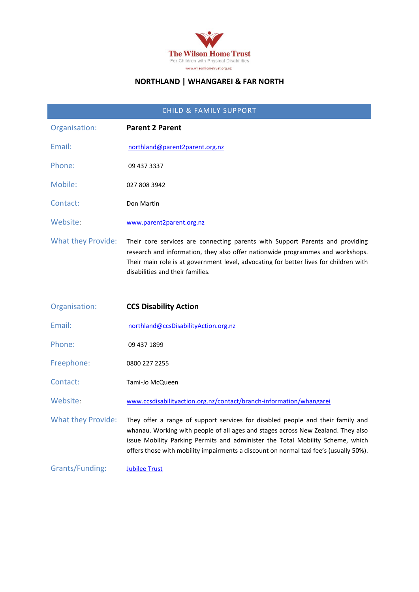

#### **NORTHLAND | WHANGAREI & FAR NORTH**

| <b>CHILD &amp; FAMILY SUPPORT</b> |                                                                                                                                                                                                                                                                                                                                                |  |
|-----------------------------------|------------------------------------------------------------------------------------------------------------------------------------------------------------------------------------------------------------------------------------------------------------------------------------------------------------------------------------------------|--|
| Organisation:                     | <b>Parent 2 Parent</b>                                                                                                                                                                                                                                                                                                                         |  |
| Email:                            | northland@parent2parent.org.nz                                                                                                                                                                                                                                                                                                                 |  |
| Phone:                            | 09 437 3337                                                                                                                                                                                                                                                                                                                                    |  |
| Mobile:                           | 027 808 3942                                                                                                                                                                                                                                                                                                                                   |  |
| Contact:                          | Don Martin                                                                                                                                                                                                                                                                                                                                     |  |
| Website:                          | www.parent2parent.org.nz                                                                                                                                                                                                                                                                                                                       |  |
| <b>What they Provide:</b>         | Their core services are connecting parents with Support Parents and providing<br>research and information, they also offer nationwide programmes and workshops.<br>Their main role is at government level, advocating for better lives for children with<br>disabilities and their families.                                                   |  |
| Organisation:                     | <b>CCS Disability Action</b>                                                                                                                                                                                                                                                                                                                   |  |
| Email:                            | northland@ccsDisabilityAction.org.nz                                                                                                                                                                                                                                                                                                           |  |
| Phone:                            | 09 437 1899                                                                                                                                                                                                                                                                                                                                    |  |
| Freephone:                        | 0800 227 2255                                                                                                                                                                                                                                                                                                                                  |  |
|                                   |                                                                                                                                                                                                                                                                                                                                                |  |
| Contact:                          | Tami-Jo McQueen                                                                                                                                                                                                                                                                                                                                |  |
| Website:                          | www.ccsdisabilityaction.org.nz/contact/branch-information/whangarei                                                                                                                                                                                                                                                                            |  |
| What they Provide:                | They offer a range of support services for disabled people and their family and<br>whanau. Working with people of all ages and stages across New Zealand. They also<br>issue Mobility Parking Permits and administer the Total Mobility Scheme, which<br>offers those with mobility impairments a discount on normal taxi fee's (usually 50%). |  |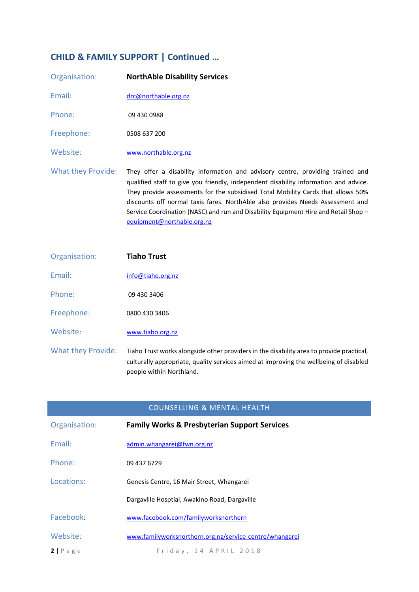# **CHILD & FAMILY SUPPORT | Continued …**

| Organisation:             | <b>NorthAble Disability Services</b>                                                                                                                                                                                                                                                                                                                                                                                                                              |
|---------------------------|-------------------------------------------------------------------------------------------------------------------------------------------------------------------------------------------------------------------------------------------------------------------------------------------------------------------------------------------------------------------------------------------------------------------------------------------------------------------|
| Email:                    | drc@northable.org.nz                                                                                                                                                                                                                                                                                                                                                                                                                                              |
| Phone:                    | 09 430 0988                                                                                                                                                                                                                                                                                                                                                                                                                                                       |
| Freephone:                | 0508 637 200                                                                                                                                                                                                                                                                                                                                                                                                                                                      |
| Website:                  | www.northable.org.nz                                                                                                                                                                                                                                                                                                                                                                                                                                              |
| <b>What they Provide:</b> | They offer a disability information and advisory centre, providing trained and<br>qualified staff to give you friendly, independent disability information and advice.<br>They provide assessments for the subsidised Total Mobility Cards that allows 50%<br>discounts off normal taxis fares. NorthAble also provides Needs Assessment and<br>Service Coordination (NASC) and run and Disability Equipment Hire and Retail Shop -<br>equipment@northable.org.nz |

| Organisation:             | <b>Tiaho Trust</b>                                                                                                                                                                                            |
|---------------------------|---------------------------------------------------------------------------------------------------------------------------------------------------------------------------------------------------------------|
| Fmail:                    | info@tiaho.org.nz                                                                                                                                                                                             |
| Phone:                    | 09 430 3406                                                                                                                                                                                                   |
| Freephone:                | 0800 430 3406                                                                                                                                                                                                 |
| Website:                  | www.tiaho.org.nz                                                                                                                                                                                              |
| <b>What they Provide:</b> | Tiaho Trust works alongside other providers in the disability area to provide practical,<br>culturally appropriate, quality services aimed at improving the wellbeing of disabled<br>people within Northland. |

|                   | <b>COUNSELLING &amp; MENTAL HEALTH</b>                  |
|-------------------|---------------------------------------------------------|
| Organisation:     | <b>Family Works &amp; Presbyterian Support Services</b> |
| Email:            | admin.whangarei@fwn.org.nz                              |
| Phone:            | 09 437 6729                                             |
| Locations:        | Genesis Centre, 16 Mair Street, Whangarei               |
|                   | Dargaville Hosptial, Awakino Road, Dargaville           |
| Facebook:         | www.facebook.com/familyworksnorthern                    |
| Website:          | www.familyworksnorthern.org.nz/service-centre/whangarei |
| $2 P \text{ age}$ | Friday, 14 APRIL 2018                                   |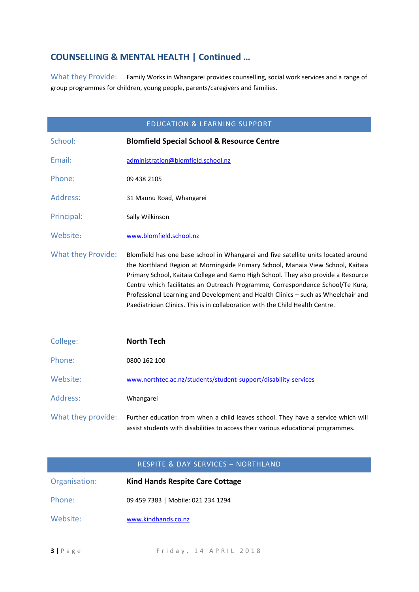### **COUNSELLING & MENTAL HEALTH | Continued …**

What they Provide: Family Works in Whangarei provides counselling, social work services and a range of group programmes for children, young people, parents/caregivers and families.

| <b>EDUCATION &amp; LEARNING SUPPORT</b> |                                                                                                                                                                                                                                                                                                                                                                                                                                                                                                                     |
|-----------------------------------------|---------------------------------------------------------------------------------------------------------------------------------------------------------------------------------------------------------------------------------------------------------------------------------------------------------------------------------------------------------------------------------------------------------------------------------------------------------------------------------------------------------------------|
| School:                                 | <b>Blomfield Special School &amp; Resource Centre</b>                                                                                                                                                                                                                                                                                                                                                                                                                                                               |
| Email:                                  | administration@blomfield.school.nz                                                                                                                                                                                                                                                                                                                                                                                                                                                                                  |
| Phone:                                  | 09 438 2105                                                                                                                                                                                                                                                                                                                                                                                                                                                                                                         |
| Address:                                | 31 Maunu Road, Whangarei                                                                                                                                                                                                                                                                                                                                                                                                                                                                                            |
| Principal:                              | Sally Wilkinson                                                                                                                                                                                                                                                                                                                                                                                                                                                                                                     |
| Website:                                | www.blomfield.school.nz                                                                                                                                                                                                                                                                                                                                                                                                                                                                                             |
| <b>What they Provide:</b>               | Blomfield has one base school in Whangarei and five satellite units located around<br>the Northland Region at Morningside Primary School, Manaia View School, Kaitaia<br>Primary School, Kaitaia College and Kamo High School. They also provide a Resource<br>Centre which facilitates an Outreach Programme, Correspondence School/Te Kura,<br>Professional Learning and Development and Health Clinics - such as Wheelchair and<br>Paediatrician Clinics. This is in collaboration with the Child Health Centre. |
| College:                                | <b>North Tech</b>                                                                                                                                                                                                                                                                                                                                                                                                                                                                                                   |
| Phone:                                  | 0800 162 100                                                                                                                                                                                                                                                                                                                                                                                                                                                                                                        |
| Website:                                | www.northtec.ac.nz/students/student-support/disability-services                                                                                                                                                                                                                                                                                                                                                                                                                                                     |
| Address:                                | Whangarei                                                                                                                                                                                                                                                                                                                                                                                                                                                                                                           |
| What they provide:                      | Further education from when a child leaves school. They have a service which will<br>assist students with disabilities to access their various educational programmes.                                                                                                                                                                                                                                                                                                                                              |

| <b>RESPITE &amp; DAY SERVICES - NORTHLAND</b> |                                        |
|-----------------------------------------------|----------------------------------------|
| Organisation:                                 | <b>Kind Hands Respite Care Cottage</b> |
| Phone:                                        | 09 459 7383   Mobile: 021 234 1294     |
| Website:                                      | www.kindhands.co.nz                    |
|                                               |                                        |

**3** | P a g e F rid a y , 14 A P R I L 2018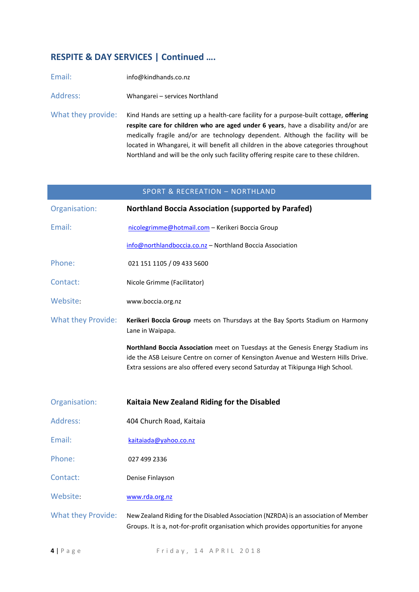## **RESPITE & DAY SERVICES | Continued ….**

| Email:             | info@kindhands.co.nz                                                                                                                                                                                                                                                                                                                                                                                                                               |
|--------------------|----------------------------------------------------------------------------------------------------------------------------------------------------------------------------------------------------------------------------------------------------------------------------------------------------------------------------------------------------------------------------------------------------------------------------------------------------|
| Address:           | Whangarei - services Northland                                                                                                                                                                                                                                                                                                                                                                                                                     |
| What they provide: | Kind Hands are setting up a health-care facility for a purpose-built cottage, offering<br>respite care for children who are aged under 6 years, have a disability and/or are<br>medically fragile and/or are technology dependent. Although the facility will be<br>located in Whangarei, it will benefit all children in the above categories throughout<br>Northland and will be the only such facility offering respite care to these children. |

|                           | <b>SPORT &amp; RECREATION - NORTHLAND</b>                                                                                                                                                                                                                |
|---------------------------|----------------------------------------------------------------------------------------------------------------------------------------------------------------------------------------------------------------------------------------------------------|
| Organisation:             | <b>Northland Boccia Association (supported by Parafed)</b>                                                                                                                                                                                               |
| Email:                    | nicolegrimme@hotmail.com - Kerikeri Boccia Group                                                                                                                                                                                                         |
|                           | info@northlandboccia.co.nz - Northland Boccia Association                                                                                                                                                                                                |
| Phone:                    | 021 151 1105 / 09 433 5600                                                                                                                                                                                                                               |
| Contact:                  | Nicole Grimme (Facilitator)                                                                                                                                                                                                                              |
| Website:                  | www.boccia.org.nz                                                                                                                                                                                                                                        |
| <b>What they Provide:</b> | Kerikeri Boccia Group meets on Thursdays at the Bay Sports Stadium on Harmony<br>Lane in Waipapa.                                                                                                                                                        |
|                           | Northland Boccia Association meet on Tuesdays at the Genesis Energy Stadium ins<br>ide the ASB Leisure Centre on corner of Kensington Avenue and Western Hills Drive.<br>Extra sessions are also offered every second Saturday at Tikipunga High School. |
| Organisation:             | Kaitaia New Zealand Riding for the Disabled                                                                                                                                                                                                              |
| Address:                  | 404 Church Road, Kaitaia                                                                                                                                                                                                                                 |
| Email:                    | kaitaiada@yahoo.co.nz                                                                                                                                                                                                                                    |
| Phone:                    | 027 499 2336                                                                                                                                                                                                                                             |
| Contact:                  | Denise Finlayson                                                                                                                                                                                                                                         |
| Website:                  | www.rda.org.nz                                                                                                                                                                                                                                           |
| <b>What they Provide:</b> | New Zealand Riding for the Disabled Association (NZRDA) is an association of Member<br>Groups. It is a, not-for-profit organisation which provides opportunities for anyone                                                                              |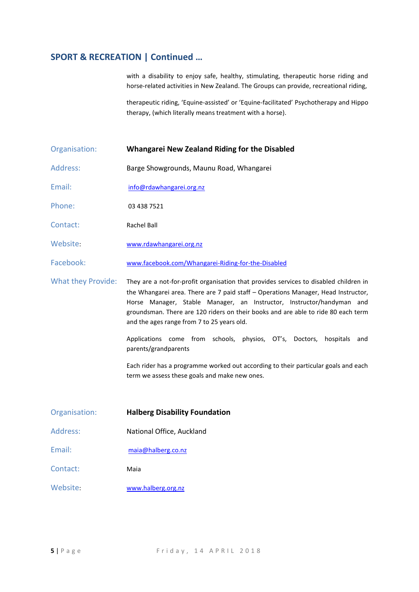#### **SPORT & RECREATION | Continued …**

with a disability to enjoy safe, healthy, stimulating, therapeutic horse riding and horse-related activities in New Zealand. The Groups can provide, recreational riding,

therapeutic riding, 'Equine-assisted' or 'Equine-facilitated' Psychotherapy and Hippo therapy, (which literally means treatment with a horse).

#### Organisation: **Whangarei New Zealand Riding for the Disabled**

- Address: Barge Showgrounds, Maunu Road, Whangarei
- Email: info@rdawhangarei.org.nz

Phone: 03 438 7521

- Contact: Rachel Ball
- Website: [www.rdawhangarei.org.nz](http://www.rdawhangarei.org.nz/)
- Facebook: [www.facebook.com/Whangarei-Riding-for-the-Disabled](http://www.facebook.com/Whangarei-Riding-for-the-Disabled)

What they Provide: They are a not-for-profit organisation that provides services to disabled children in the Whangarei area. There are 7 paid staff – Operations Manager, Head Instructor, Horse Manager, Stable Manager, an Instructor, Instructor/handyman and groundsman. There are 120 riders on their books and are able to ride 80 each term and the ages range from 7 to 25 years old.

> Applications come from schools, physios, OT's, Doctors, hospitals and parents/grandparents

> Each rider has a programme worked out according to their particular goals and each term we assess these goals and make new ones.

- Organisation: **Halberg Disability Foundation**
- Address: National Office, Auckland
- Email: maia@halberg.co.nz
- Contact: Maia
- Website: [www.halberg.org.nz](http://www.halberg.org.nz/)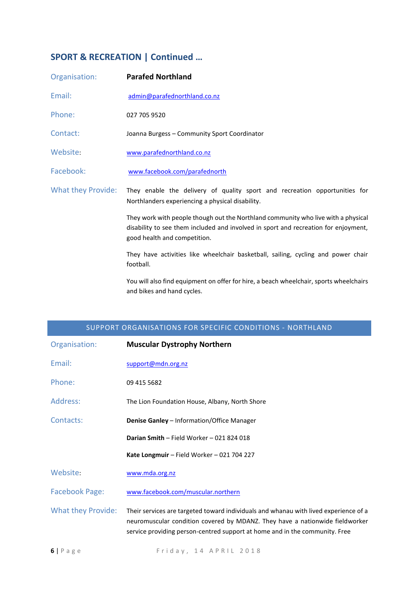# **SPORT & RECREATION | Continued …**

| Organisation:      | <b>Parafed Northland</b>                                                                                                                                                                                 |
|--------------------|----------------------------------------------------------------------------------------------------------------------------------------------------------------------------------------------------------|
| Email:             | admin@parafednorthland.co.nz                                                                                                                                                                             |
| Phone:             | 027 705 9520                                                                                                                                                                                             |
| Contact:           | Joanna Burgess - Community Sport Coordinator                                                                                                                                                             |
| Website:           | www.parafednorthland.co.nz                                                                                                                                                                               |
| Facebook:          | www.facebook.com/parafednorth                                                                                                                                                                            |
| What they Provide: | They enable the delivery of quality sport and recreation opportunities for<br>Northlanders experiencing a physical disability.                                                                           |
|                    | They work with people though out the Northland community who live with a physical<br>disability to see them included and involved in sport and recreation for enjoyment,<br>good health and competition. |
|                    | They have activities like wheelchair basketball, sailing, cycling and power chair<br>football.                                                                                                           |
|                    | You will also find equipment on offer for hire, a beach wheelchair, sports wheelchairs<br>and bikes and hand cycles.                                                                                     |

| SUPPORT ORGANISATIONS FOR SPECIFIC CONDITIONS - NORTHLAND |                                                                                                                                                                                                                                                     |
|-----------------------------------------------------------|-----------------------------------------------------------------------------------------------------------------------------------------------------------------------------------------------------------------------------------------------------|
| Organisation:                                             | <b>Muscular Dystrophy Northern</b>                                                                                                                                                                                                                  |
| Email:                                                    | support@mdn.org.nz                                                                                                                                                                                                                                  |
| Phone:                                                    | 09 415 5682                                                                                                                                                                                                                                         |
| Address:                                                  | The Lion Foundation House, Albany, North Shore                                                                                                                                                                                                      |
| Contacts:                                                 | <b>Denise Ganley - Information/Office Manager</b>                                                                                                                                                                                                   |
|                                                           | Darian Smith - Field Worker - 021 824 018                                                                                                                                                                                                           |
|                                                           | Kate Longmuir - Field Worker - 021 704 227                                                                                                                                                                                                          |
| Website:                                                  | www.mda.org.nz                                                                                                                                                                                                                                      |
| <b>Facebook Page:</b>                                     | www.facebook.com/muscular.northern                                                                                                                                                                                                                  |
| <b>What they Provide:</b>                                 | Their services are targeted toward individuals and whanau with lived experience of a<br>neuromuscular condition covered by MDANZ. They have a nationwide fieldworker<br>service providing person-centred support at home and in the community. Free |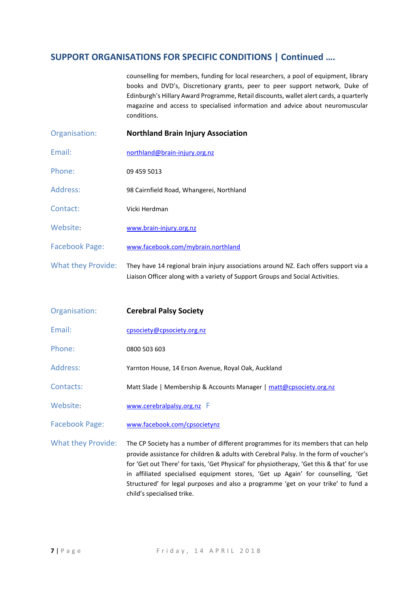counselling for members, funding for local researchers, a pool of equipment, library books and DVD's, Discretionary grants, peer to peer support network, Duke of Edinburgh's Hillary Award Programme, Retail discounts, wallet alert cards, a quarterly magazine and access to specialised information and advice about neuromuscular conditions.

Organisation: **Northland Brain Injury Association** Email: northland@brain-injury.org.nz Phone: 09 459 5013 Address: 98 Cairnfield Road, Whangerei, Northland Contact: Vicki Herdman Website: www.brain-injury.org.nz Facebook Page: [www.facebook.com/mybrain.northland](http://www.facebook.com/mybrain.northland) What they Provide: They have 14 regional brain injury associations around NZ. Each offers support via a Liaison Officer along with a variety of Support Groups and Social Activities.

| Organisation:             | <b>Cerebral Palsy Society</b>                                                                                                                                                                                                                                             |
|---------------------------|---------------------------------------------------------------------------------------------------------------------------------------------------------------------------------------------------------------------------------------------------------------------------|
| Email:                    | cpsociety@cpsociety.org.nz                                                                                                                                                                                                                                                |
| Phone:                    | 0800 503 603                                                                                                                                                                                                                                                              |
| <b>Address:</b>           | Yarnton House, 14 Erson Avenue, Royal Oak, Auckland                                                                                                                                                                                                                       |
| Contacts:                 | Matt Slade   Membership & Accounts Manager   matt@cpsociety.org.nz                                                                                                                                                                                                        |
| Website:                  | www.cerebralpalsy.org.nz F                                                                                                                                                                                                                                                |
| <b>Facebook Page:</b>     | www.facebook.com/cpsocietynz                                                                                                                                                                                                                                              |
| <b>What they Provide:</b> | The CP Society has a number of different programmes for its members that can help<br>provide assistance for children & adults with Cerebral Palsy. In the form of voucher's<br>for 'Get out There' for taxis, 'Get Physical' for physiotherapy, 'Get this & that' for use |

child's specialised trike.

in affiliated specialised equipment stores, 'Get up Again' for counselling, 'Get Structured' for legal purposes and also a programme 'get on your trike' to fund a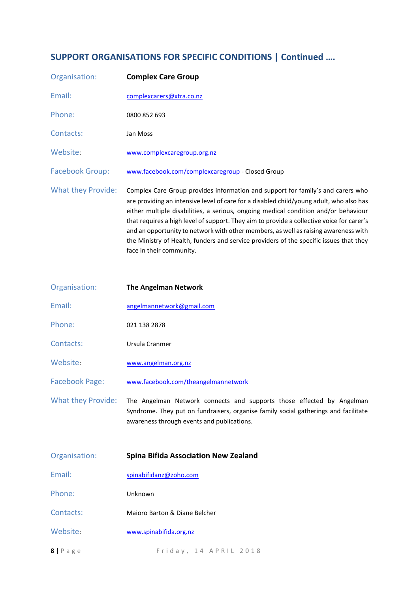| Organisation:             | <b>Complex Care Group</b>                                                                                                                                                                                                                                                                                                                                                                                                                                                                                                                                                   |
|---------------------------|-----------------------------------------------------------------------------------------------------------------------------------------------------------------------------------------------------------------------------------------------------------------------------------------------------------------------------------------------------------------------------------------------------------------------------------------------------------------------------------------------------------------------------------------------------------------------------|
| Email:                    | complexcarers@xtra.co.nz                                                                                                                                                                                                                                                                                                                                                                                                                                                                                                                                                    |
| Phone:                    | 0800 852 693                                                                                                                                                                                                                                                                                                                                                                                                                                                                                                                                                                |
| Contacts:                 | Jan Moss                                                                                                                                                                                                                                                                                                                                                                                                                                                                                                                                                                    |
| Website:                  | www.complexcaregroup.org.nz                                                                                                                                                                                                                                                                                                                                                                                                                                                                                                                                                 |
| <b>Facebook Group:</b>    | www.facebook.com/complexcaregroup - Closed Group                                                                                                                                                                                                                                                                                                                                                                                                                                                                                                                            |
| <b>What they Provide:</b> | Complex Care Group provides information and support for family's and carers who<br>are providing an intensive level of care for a disabled child/young adult, who also has<br>either multiple disabilities, a serious, ongoing medical condition and/or behaviour<br>that requires a high level of support. They aim to provide a collective voice for carer's<br>and an opportunity to network with other members, as well as raising awareness with<br>the Ministry of Health, funders and service providers of the specific issues that they<br>face in their community. |

| Organisation:         | <b>The Angelman Network</b>         |
|-----------------------|-------------------------------------|
| Fmail:                | angelmannetwork@gmail.com           |
| Phone:                | 021 138 2878                        |
| Contacts:             | Ursula Cranmer                      |
| Website:              | www.angelman.org.nz                 |
| <b>Facebook Page:</b> | www.facebook.com/theangelmannetwork |
| What they Provide:    | The Angelman Network connects and s |

supports those effected by Angelman Syndrome. They put on fundraisers, organise family social gatherings and facilitate awareness through events and publications.

| Organisation:      | <b>Spina Bifida Association New Zealand</b> |
|--------------------|---------------------------------------------|
| Email:             | spinabifidanz@zoho.com                      |
| Phone:             | Unknown                                     |
| Contacts:          | Maioro Barton & Diane Belcher               |
| Website:           | www.spinabifida.org.nz                      |
| $8   P \text{age}$ | Friday, 14 APRIL 2018                       |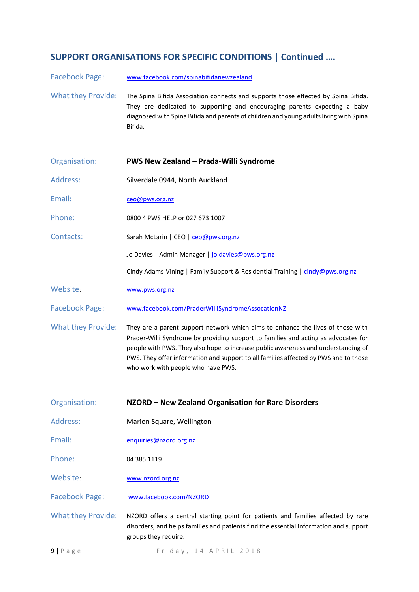Facebook Page: [www.facebook.com/spinabifidanewzealand](http://www.facebook.com/spinabifidanewzealand)

What they Provide: The Spina Bifida Association connects and supports those effected by Spina Bifida. They are dedicated to supporting and encouraging parents expecting a baby diagnosed with Spina Bifida and parents of children and young adults living with Spina Bifida.

| Organisation:             | <b>PWS New Zealand - Prada-Willi Syndrome</b>                                                                                                                                                                                                                                                                                                                                            |
|---------------------------|------------------------------------------------------------------------------------------------------------------------------------------------------------------------------------------------------------------------------------------------------------------------------------------------------------------------------------------------------------------------------------------|
| Address:                  | Silverdale 0944, North Auckland                                                                                                                                                                                                                                                                                                                                                          |
| Email:                    | ceo@pws.org.nz                                                                                                                                                                                                                                                                                                                                                                           |
| Phone:                    | 0800 4 PWS HELP or 027 673 1007                                                                                                                                                                                                                                                                                                                                                          |
| Contacts:                 | Sarah McLarin   CEO   ceo@pws.org.nz                                                                                                                                                                                                                                                                                                                                                     |
|                           | Jo Davies   Admin Manager   jo.davies@pws.org.nz                                                                                                                                                                                                                                                                                                                                         |
|                           | Cindy Adams-Vining   Family Support & Residential Training   cindy@pws.org.nz                                                                                                                                                                                                                                                                                                            |
| Website:                  | www.pws.org.nz                                                                                                                                                                                                                                                                                                                                                                           |
| <b>Facebook Page:</b>     | www.facebook.com/PraderWilliSyndromeAssocationNZ                                                                                                                                                                                                                                                                                                                                         |
| <b>What they Provide:</b> | They are a parent support network which aims to enhance the lives of those with<br>Prader-Willi Syndrome by providing support to families and acting as advocates for<br>people with PWS. They also hope to increase public awareness and understanding of<br>PWS. They offer information and support to all families affected by PWS and to those<br>who work with people who have PWS. |
| Organisation:             | NZORD - New Zealand Organisation for Rare Disorders                                                                                                                                                                                                                                                                                                                                      |
| <b>Address:</b>           | Marion Square, Wellington                                                                                                                                                                                                                                                                                                                                                                |
| Email:                    | enquiries@nzord.org.nz                                                                                                                                                                                                                                                                                                                                                                   |
| Phone:                    | 04 385 1119                                                                                                                                                                                                                                                                                                                                                                              |
| Website:                  | www.nzord.org.nz                                                                                                                                                                                                                                                                                                                                                                         |
| <b>Facebook Page:</b>     | www.facebook.com/NZORD                                                                                                                                                                                                                                                                                                                                                                   |
| <b>What they Provide:</b> | NZORD offers a central starting point for patients and families affected by rare<br>disorders, and helps families and patients find the essential information and support<br>groups they require.                                                                                                                                                                                        |

**9** | Page Friday, 14 A P R I L 2018